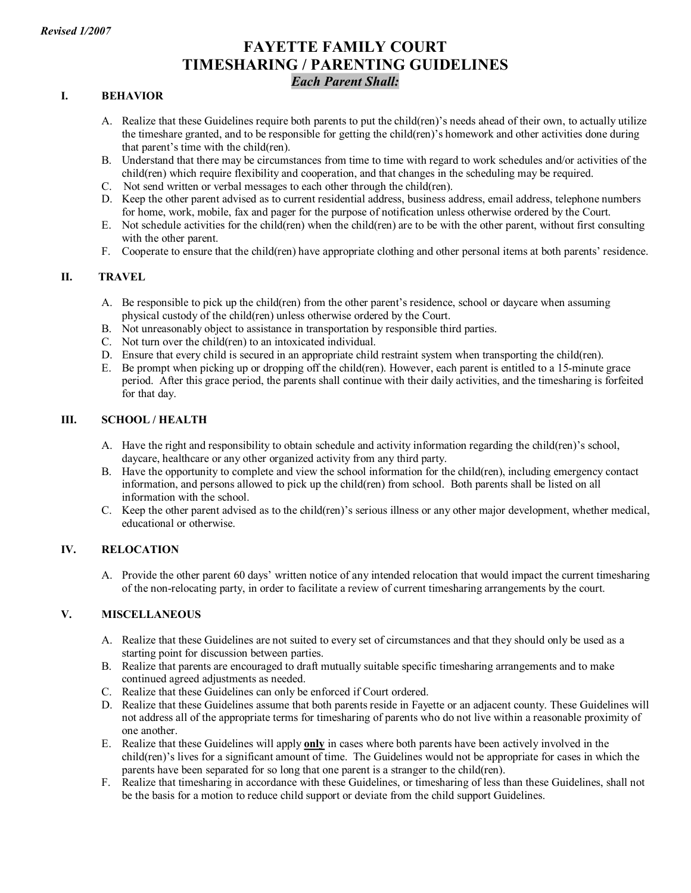# **FAYETTE FAMILY COURT TIMESHARING / PARENTING GUIDELINES** *Each Parent Shall:*

# **I. BEHAVIOR**

- A. Realize that these Guidelines require both parents to put the child(ren)'s needs ahead of their own, to actually utilize the timeshare granted, and to be responsible for getting the child(ren)'s homework and other activities done during that parent's time with the child(ren).
- B. Understand that there may be circumstances from time to time with regard to work schedules and/or activities of the child(ren) which require flexibility and cooperation, and that changes in the scheduling may be required.
- C. Not send written or verbal messages to each other through the child(ren).
- D. Keep the other parent advised as to current residential address, business address, email address, telephone numbers for home, work, mobile, fax and pager for the purpose of notification unless otherwise ordered by the Court.
- E. Not schedule activities for the child(ren) when the child(ren) are to be with the other parent, without first consulting with the other parent.
- F. Cooperate to ensure that the child(ren) have appropriate clothing and other personal items at both parents' residence.

## **II. TRAVEL**

- A. Be responsible to pick up the child(ren) from the other parent's residence, school or daycare when assuming physical custody of the child(ren) unless otherwise ordered by the Court.
- B. Not unreasonably object to assistance in transportation by responsible third parties.
- C. Not turn over the child(ren) to an intoxicated individual.
- D. Ensure that every child is secured in an appropriate child restraint system when transporting the child(ren).
- E. Be prompt when picking up or dropping off the child(ren). However, each parent is entitled to a 15minute grace period. After this grace period, the parents shall continue with their daily activities, and the timesharing is forfeited for that day.

#### **III. SCHOOL / HEALTH**

- A. Have the right and responsibility to obtain schedule and activity information regarding the child(ren)'s school, daycare, healthcare or any other organized activity from any third party.
- B. Have the opportunity to complete and view the school information for the child(ren), including emergency contact information, and persons allowed to pick up the child(ren) from school. Both parents shall be listed on all information with the school.
- C. Keep the other parent advised as to the child(ren)'s serious illness or any other major development, whether medical, educational or otherwise.

#### **IV. RELOCATION**

A. Provide the other parent 60 days' written notice of any intended relocation that would impact the current timesharing of the nonrelocating party, in order to facilitate a review of current timesharing arrangements by the court.

## **V. MISCELLANEOUS**

- A. Realize that these Guidelines are not suited to every set of circumstances and that they should only be used as a starting point for discussion between parties.
- B. Realize that parents are encouraged to draft mutually suitable specific timesharing arrangements and to make continued agreed adjustments as needed.
- C. Realize that these Guidelines can only be enforced if Court ordered.
- D. Realize that these Guidelines assume that both parents reside in Fayette or an adjacent county. These Guidelines will not address all of the appropriate terms for timesharing of parents who do not live within a reasonable proximity of one another.
- E. Realize that these Guidelines will apply **only** in cases where both parents have been actively involved in the child(ren)'s lives for a significant amount of time. The Guidelines would not be appropriate for cases in which the parents have been separated for so long that one parent is a stranger to the child(ren).
- F. Realize that timesharing in accordance with these Guidelines, or timesharing of less than these Guidelines, shall not be the basis for a motion to reduce child support or deviate from the child support Guidelines.